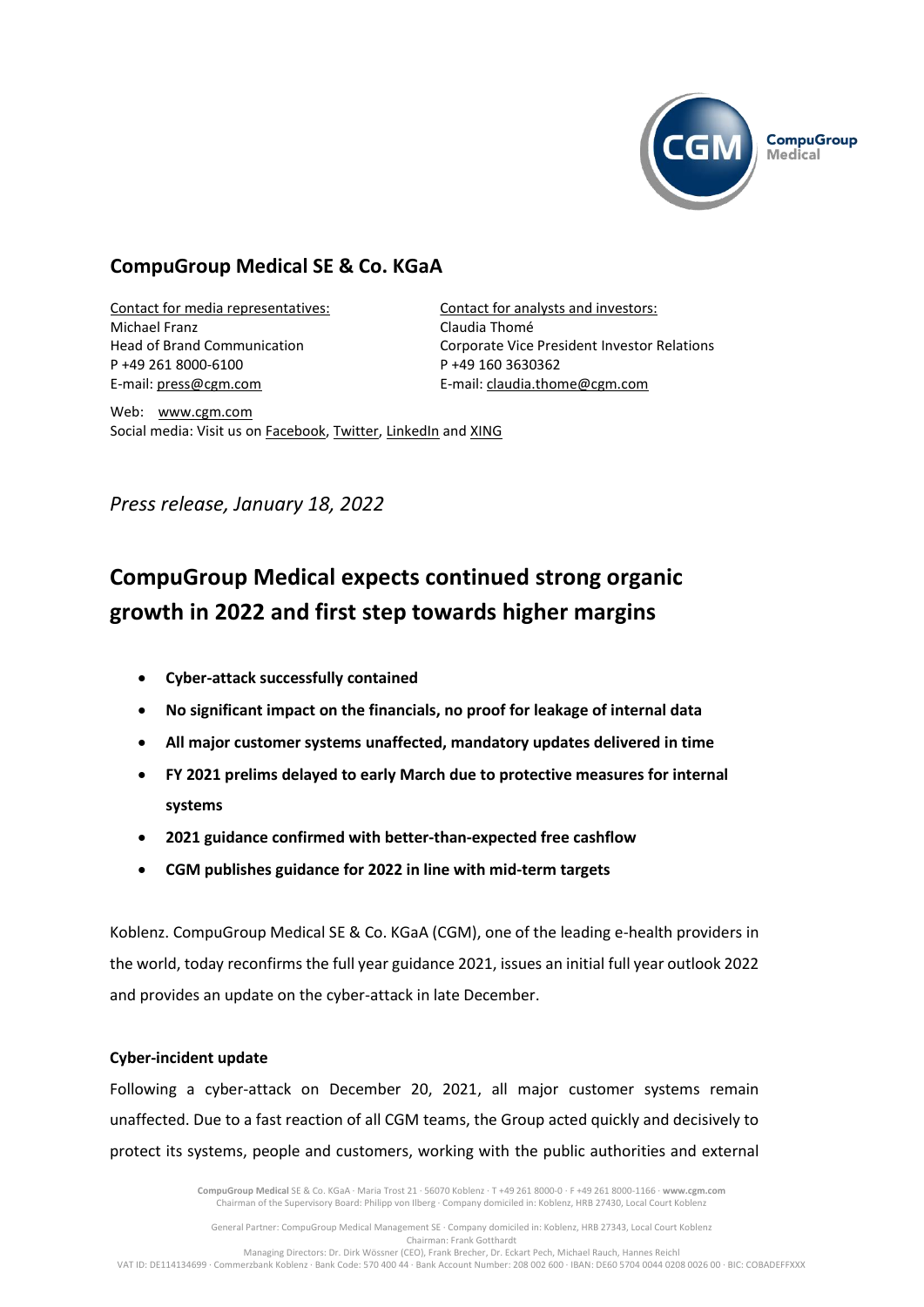

# **CompuGroup Medical SE & Co. KGaA**

Contact for media representatives: Michael Franz Head of Brand Communication P +49 261 8000-6100 E-mail: [press@cgm.com](mailto:press@cgm.com)

Contact for analysts and investors: Claudia Thomé Corporate Vice President Investor Relations P +49 160 3630362 E-mail: [claudia.thome@cgm.com](mailto:claudia.thome@cgm.com)

Web: www.cgm.com Social media: Visit us on [Facebook,](https://www.facebook.com/CompuGroup-Medical-SE-Co-KGaA-112275907098431) [Twitter,](https://twitter.com/CGMeHealth) [LinkedIn](https://www.linkedin.com/company/1453025/) and [XING](https://www.xing.com/companies/compugroupmedicalag)

*Press release, January 18, 2022*

# **CompuGroup Medical expects continued strong organic growth in 2022 and first step towards higher margins**

- **Cyber-attack successfully contained**
- **No significant impact on the financials, no proof for leakage of internal data**
- **All major customer systems unaffected, mandatory updates delivered in time**
- **FY 2021 prelims delayed to early March due to protective measures for internal systems**
- **2021 guidance confirmed with better-than-expected free cashflow**
- **CGM publishes guidance for 2022 in line with mid-term targets**

Koblenz. CompuGroup Medical SE & Co. KGaA (CGM), one of the leading e-health providers in the world, today reconfirms the full year guidance 2021, issues an initial full year outlook 2022 and provides an update on the cyber-attack in late December.

## **Cyber-incident update**

Following a cyber-attack on December 20, 2021, all major customer systems remain unaffected. Due to a fast reaction of all CGM teams, the Group acted quickly and decisively to protect its systems, people and customers, working with the public authorities and external

> **CompuGroup Medical** SE & Co. KGaA · Maria Trost 21 · 56070 Koblenz · T +49 261 8000-0 · F +49 261 8000-1166 · **www.cgm.com** Chairman of the Supervisory Board: Philipp von Ilberg · Company domiciled in: Koblenz, HRB 27430, Local Court Koblenz

General Partner: CompuGroup Medical Management SE · Company domiciled in: Koblenz, HRB 27343, Local Court Koblenz Chairman: Frank Gotthardt Managing Directors: Dr. Dirk Wössner (CEO), Frank Brecher, Dr. Eckart Pech, Michael Rauch, Hannes Reichl

VAT ID: DE114134699 · Commerzbank Koblenz · Bank Code: 570 400 44 · Bank Account Number: 208 002 600 · IBAN: DE60 5704 0044 0208 0026 00 · BIC: COBADEFFXXX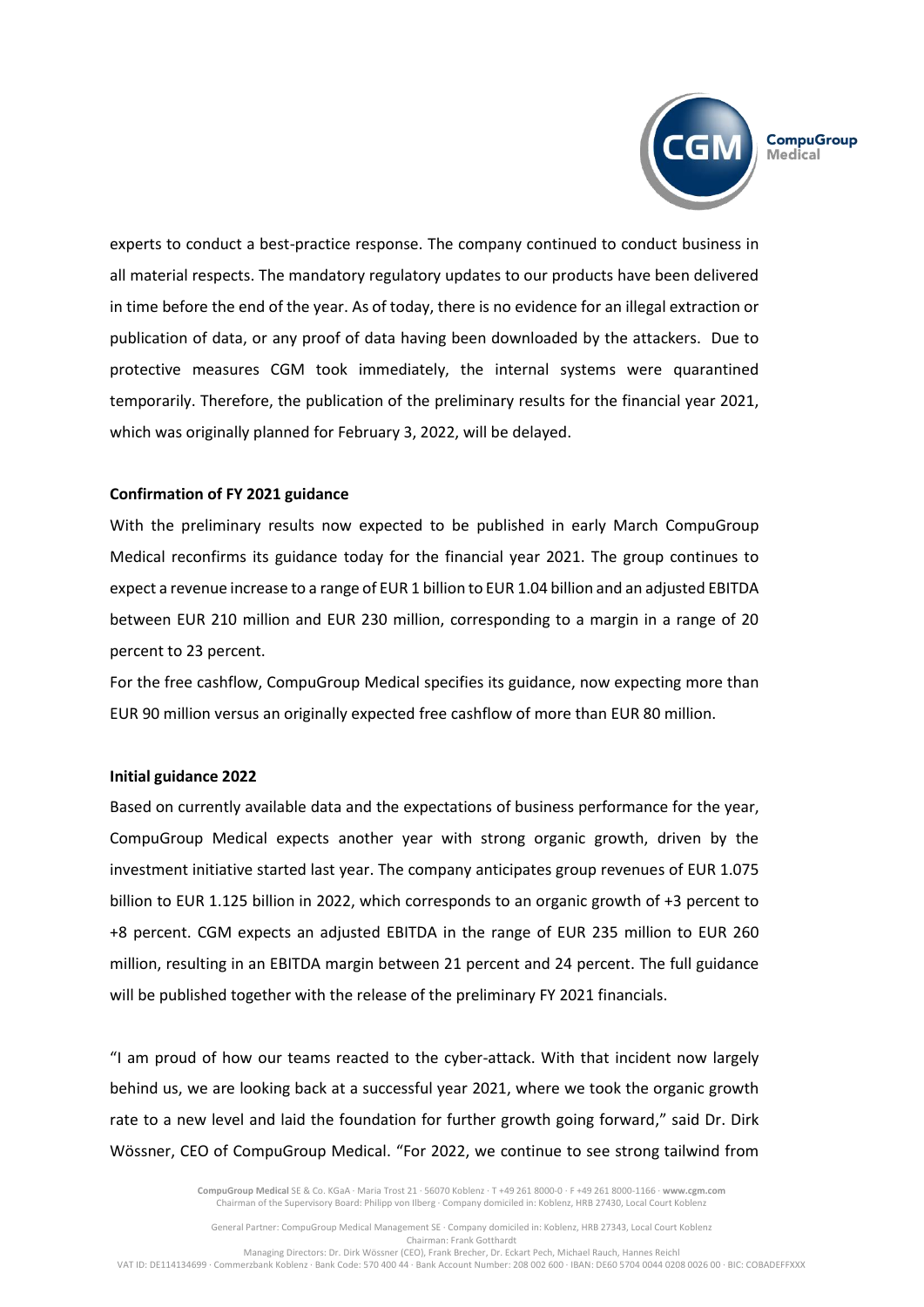

experts to conduct a best-practice response. The company continued to conduct business in all material respects. The mandatory regulatory updates to our products have been delivered in time before the end of the year. As of today, there is no evidence for an illegal extraction or publication of data, or any proof of data having been downloaded by the attackers. Due to protective measures CGM took immediately, the internal systems were quarantined temporarily. Therefore, the publication of the preliminary results for the financial year 2021, which was originally planned for February 3, 2022, will be delayed.

#### **Confirmation of FY 2021 guidance**

With the preliminary results now expected to be published in early March CompuGroup Medical reconfirms its guidance today for the financial year 2021. The group continues to expect a revenue increase to a range of EUR 1 billion to EUR 1.04 billion and an adjusted EBITDA between EUR 210 million and EUR 230 million, corresponding to a margin in a range of 20 percent to 23 percent.

For the free cashflow, CompuGroup Medical specifies its guidance, now expecting more than EUR 90 million versus an originally expected free cashflow of more than EUR 80 million.

### **Initial guidance 2022**

Based on currently available data and the expectations of business performance for the year, CompuGroup Medical expects another year with strong organic growth, driven by the investment initiative started last year. The company anticipates group revenues of EUR 1.075 billion to EUR 1.125 billion in 2022, which corresponds to an organic growth of +3 percent to +8 percent. CGM expects an adjusted EBITDA in the range of EUR 235 million to EUR 260 million, resulting in an EBITDA margin between 21 percent and 24 percent. The full guidance will be published together with the release of the preliminary FY 2021 financials.

"I am proud of how our teams reacted to the cyber-attack. With that incident now largely behind us, we are looking back at a successful year 2021, where we took the organic growth rate to a new level and laid the foundation for further growth going forward," said Dr. Dirk Wössner, CEO of CompuGroup Medical. "For 2022, we continue to see strong tailwind from

> **CompuGroup Medical** SE & Co. KGaA · Maria Trost 21 · 56070 Koblenz · T +49 261 8000-0 · F +49 261 8000-1166 · **www.cgm.com** Chairman of the Supervisory Board: Philipp von Ilberg · Company domiciled in: Koblenz, HRB 27430, Local Court Koblenz

General Partner: CompuGroup Medical Management SE · Company domiciled in: Koblenz, HRB 27343, Local Court Koblenz Chairman: Frank Gotthardt Managing Directors: Dr. Dirk Wössner (CEO), Frank Brecher, Dr. Eckart Pech, Michael Rauch, Hannes Reichl

VAT ID: DE114134699 · Commerzbank Koblenz · Bank Code: 570 400 44 · Bank Account Number: 208 002 600 · IBAN: DE60 5704 0044 0208 0026 00 · BIC: COBADEFFXXX